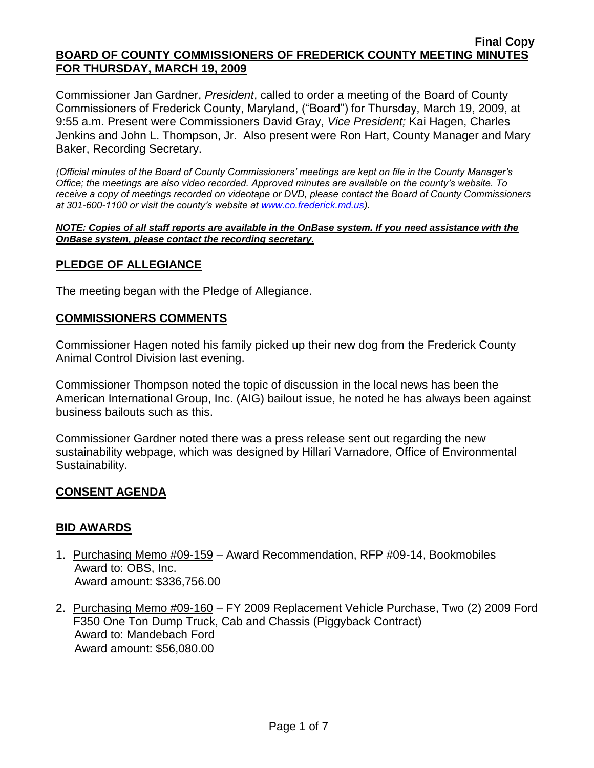Commissioner Jan Gardner, *President*, called to order a meeting of the Board of County Commissioners of Frederick County, Maryland, ("Board") for Thursday, March 19, 2009, at 9:55 a.m. Present were Commissioners David Gray, *Vice President;* Kai Hagen, Charles Jenkins and John L. Thompson, Jr. Also present were Ron Hart, County Manager and Mary Baker, Recording Secretary.

*(Official minutes of the Board of County Commissioners' meetings are kept on file in the County Manager's Office; the meetings are also video recorded. Approved minutes are available on the county's website. To receive a copy of meetings recorded on videotape or DVD, please contact the Board of County Commissioners at 301-600-1100 or visit the county's website at [www.co.frederick.md.us\)](http://www.co.frederick.md.us/).*

#### *NOTE: Copies of all staff reports are available in the OnBase system. If you need assistance with the OnBase system, please contact the recording secretary.*

## **PLEDGE OF ALLEGIANCE**

The meeting began with the Pledge of Allegiance.

### **COMMISSIONERS COMMENTS**

Commissioner Hagen noted his family picked up their new dog from the Frederick County Animal Control Division last evening.

Commissioner Thompson noted the topic of discussion in the local news has been the American International Group, Inc. (AIG) bailout issue, he noted he has always been against business bailouts such as this.

Commissioner Gardner noted there was a press release sent out regarding the new sustainability webpage, which was designed by Hillari Varnadore, Office of Environmental Sustainability.

## **CONSENT AGENDA**

## **BID AWARDS**

- 1. Purchasing Memo #09-159 Award Recommendation, RFP #09-14, Bookmobiles Award to: OBS, Inc. Award amount: \$336,756.00
- 2. Purchasing Memo #09-160 FY 2009 Replacement Vehicle Purchase, Two (2) 2009 Ford F350 One Ton Dump Truck, Cab and Chassis (Piggyback Contract) Award to: Mandebach Ford Award amount: \$56,080.00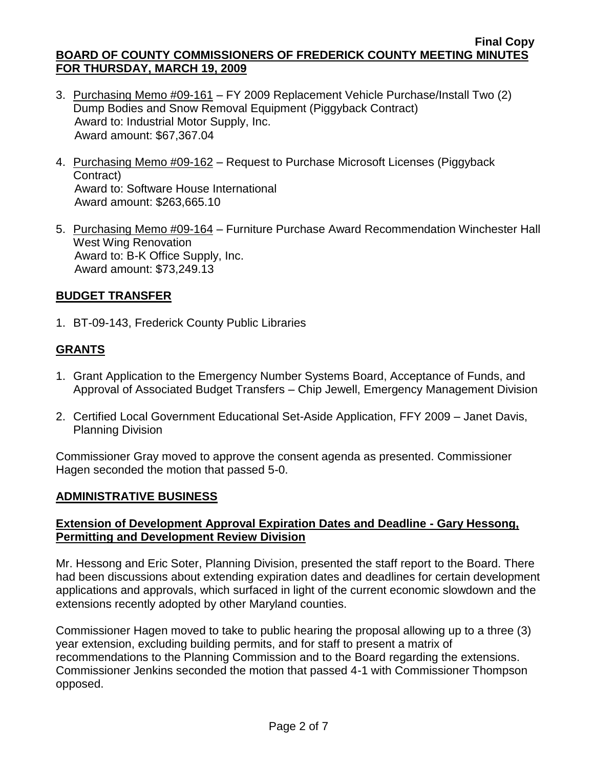- 3. Purchasing Memo #09-161 FY 2009 Replacement Vehicle Purchase/Install Two (2) Dump Bodies and Snow Removal Equipment (Piggyback Contract) Award to: Industrial Motor Supply, Inc. Award amount: \$67,367.04
- 4. Purchasing Memo #09-162 Request to Purchase Microsoft Licenses (Piggyback Contract) Award to: Software House International Award amount: \$263,665.10
- 5. Purchasing Memo #09-164 Furniture Purchase Award Recommendation Winchester Hall West Wing Renovation Award to: B-K Office Supply, Inc. Award amount: \$73,249.13

## **BUDGET TRANSFER**

1. BT-09-143, Frederick County Public Libraries

# **GRANTS**

- 1. Grant Application to the Emergency Number Systems Board, Acceptance of Funds, and Approval of Associated Budget Transfers – Chip Jewell, Emergency Management Division
- 2. Certified Local Government Educational Set-Aside Application, FFY 2009 Janet Davis, Planning Division

Commissioner Gray moved to approve the consent agenda as presented. Commissioner Hagen seconded the motion that passed 5-0.

## **ADMINISTRATIVE BUSINESS**

## **Extension of Development Approval Expiration Dates and Deadline - Gary Hessong, Permitting and Development Review Division**

Mr. Hessong and Eric Soter, Planning Division, presented the staff report to the Board. There had been discussions about extending expiration dates and deadlines for certain development applications and approvals, which surfaced in light of the current economic slowdown and the extensions recently adopted by other Maryland counties.

Commissioner Hagen moved to take to public hearing the proposal allowing up to a three (3) year extension, excluding building permits, and for staff to present a matrix of recommendations to the Planning Commission and to the Board regarding the extensions. Commissioner Jenkins seconded the motion that passed 4-1 with Commissioner Thompson opposed.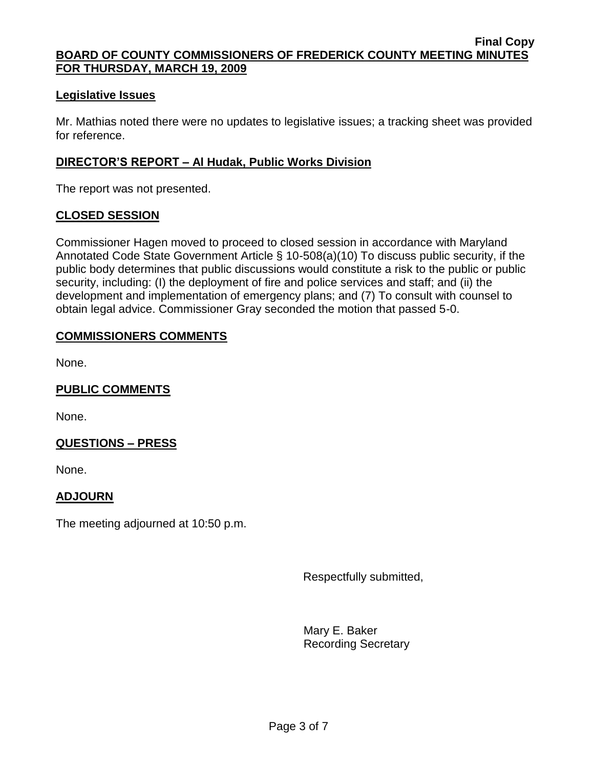## **Legislative Issues**

Mr. Mathias noted there were no updates to legislative issues; a tracking sheet was provided for reference.

## **DIRECTOR'S REPORT – Al Hudak, Public Works Division**

The report was not presented.

## **CLOSED SESSION**

Commissioner Hagen moved to proceed to closed session in accordance with Maryland Annotated Code State Government Article § 10-508(a)(10) To discuss public security, if the public body determines that public discussions would constitute a risk to the public or public security, including: (I) the deployment of fire and police services and staff; and (ii) the development and implementation of emergency plans; and (7) To consult with counsel to obtain legal advice. Commissioner Gray seconded the motion that passed 5-0.

## **COMMISSIONERS COMMENTS**

None.

## **PUBLIC COMMENTS**

None.

## **QUESTIONS – PRESS**

None.

## **ADJOURN**

The meeting adjourned at 10:50 p.m.

Respectfully submitted,

Mary E. Baker Recording Secretary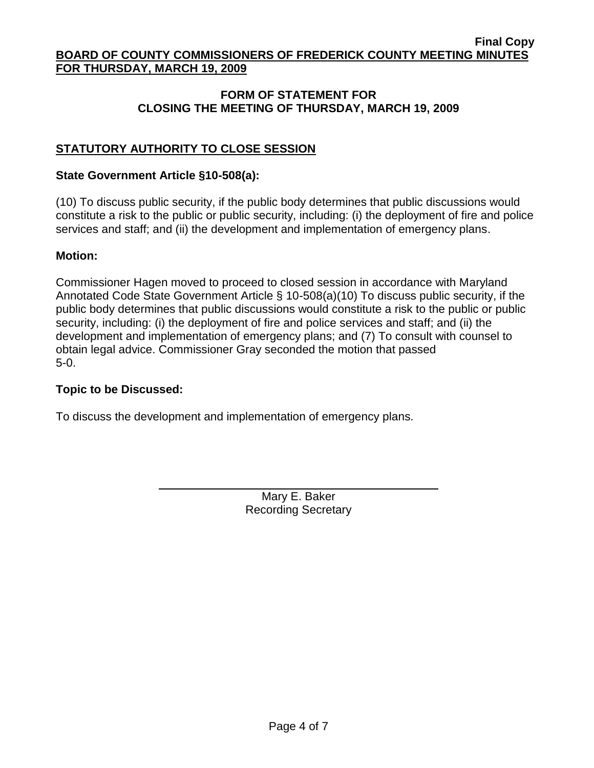## **FORM OF STATEMENT FOR CLOSING THE MEETING OF THURSDAY, MARCH 19, 2009**

## **STATUTORY AUTHORITY TO CLOSE SESSION**

#### **State Government Article §10-508(a):**

(10) To discuss public security, if the public body determines that public discussions would constitute a risk to the public or public security, including: (i) the deployment of fire and police services and staff; and (ii) the development and implementation of emergency plans.

#### **Motion:**

Commissioner Hagen moved to proceed to closed session in accordance with Maryland Annotated Code State Government Article § 10-508(a)(10) To discuss public security, if the public body determines that public discussions would constitute a risk to the public or public security, including: (i) the deployment of fire and police services and staff; and (ii) the development and implementation of emergency plans; and (7) To consult with counsel to obtain legal advice. Commissioner Gray seconded the motion that passed 5-0.

### **Topic to be Discussed:**

To discuss the development and implementation of emergency plans.

Mary E. Baker Recording Secretary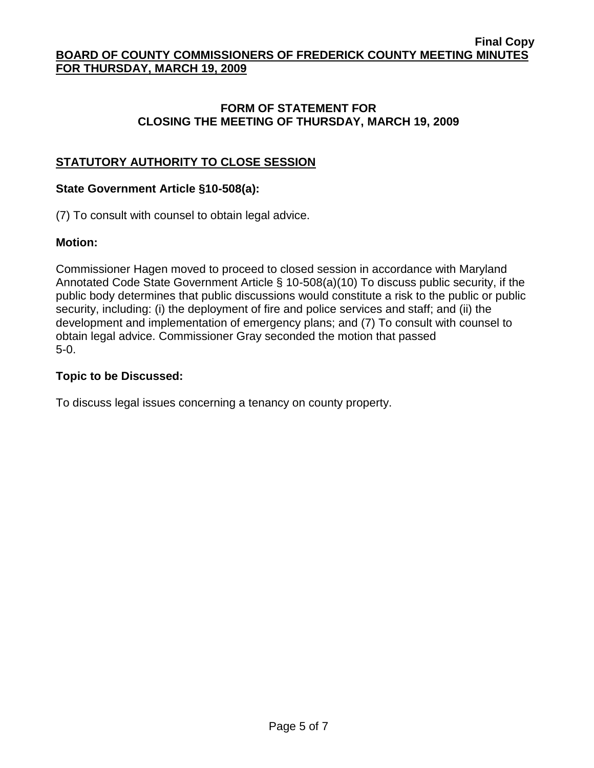## **FORM OF STATEMENT FOR CLOSING THE MEETING OF THURSDAY, MARCH 19, 2009**

# **STATUTORY AUTHORITY TO CLOSE SESSION**

## **State Government Article §10-508(a):**

(7) To consult with counsel to obtain legal advice.

## **Motion:**

Commissioner Hagen moved to proceed to closed session in accordance with Maryland Annotated Code State Government Article § 10-508(a)(10) To discuss public security, if the public body determines that public discussions would constitute a risk to the public or public security, including: (i) the deployment of fire and police services and staff; and (ii) the development and implementation of emergency plans; and (7) To consult with counsel to obtain legal advice. Commissioner Gray seconded the motion that passed 5-0.

## **Topic to be Discussed:**

To discuss legal issues concerning a tenancy on county property.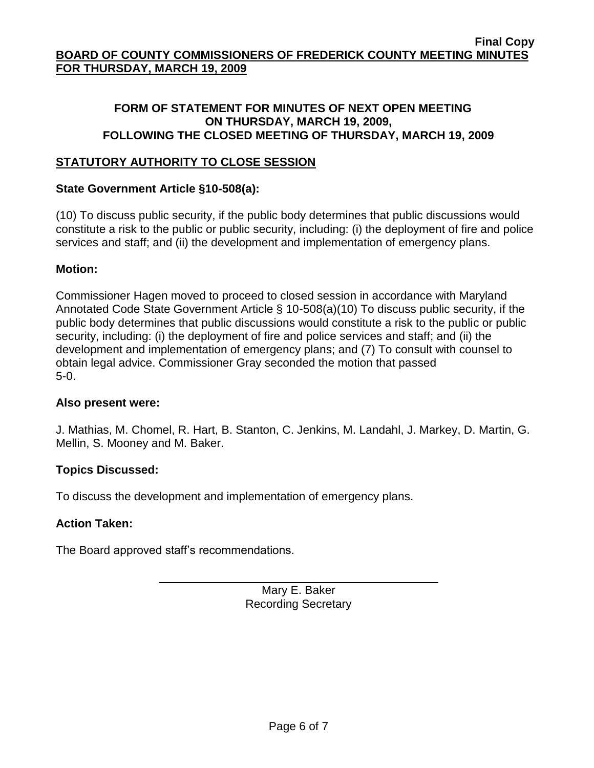## **FORM OF STATEMENT FOR MINUTES OF NEXT OPEN MEETING ON THURSDAY, MARCH 19, 2009, FOLLOWING THE CLOSED MEETING OF THURSDAY, MARCH 19, 2009**

## **STATUTORY AUTHORITY TO CLOSE SESSION**

## **State Government Article §10-508(a):**

(10) To discuss public security, if the public body determines that public discussions would constitute a risk to the public or public security, including: (i) the deployment of fire and police services and staff; and (ii) the development and implementation of emergency plans.

## **Motion:**

Commissioner Hagen moved to proceed to closed session in accordance with Maryland Annotated Code State Government Article § 10-508(a)(10) To discuss public security, if the public body determines that public discussions would constitute a risk to the public or public security, including: (i) the deployment of fire and police services and staff; and (ii) the development and implementation of emergency plans; and (7) To consult with counsel to obtain legal advice. Commissioner Gray seconded the motion that passed 5-0.

## **Also present were:**

J. Mathias, M. Chomel, R. Hart, B. Stanton, C. Jenkins, M. Landahl, J. Markey, D. Martin, G. Mellin, S. Mooney and M. Baker.

## **Topics Discussed:**

To discuss the development and implementation of emergency plans.

## **Action Taken:**

The Board approved staff's recommendations.

Mary E. Baker Recording Secretary